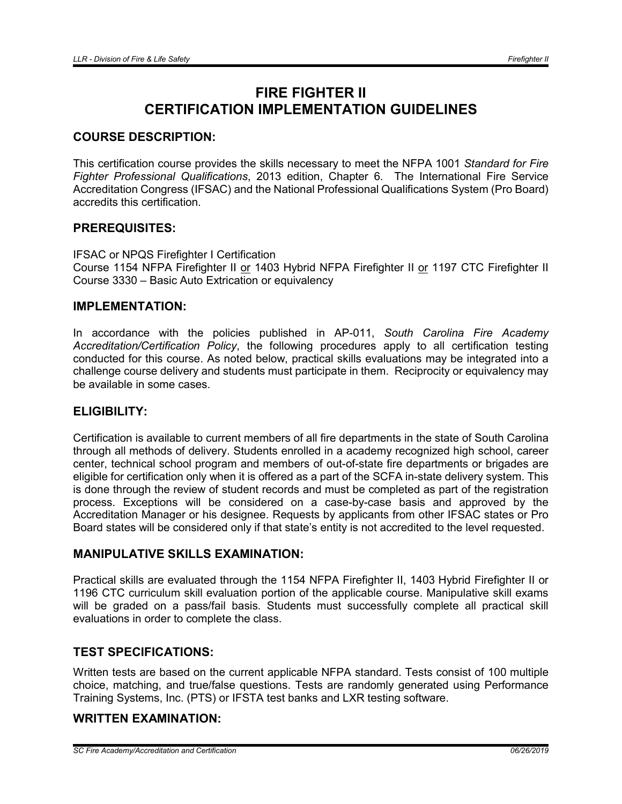# FIRE FIGHTER II CERTIFICATION IMPLEMENTATION GUIDELINES

## COURSE DESCRIPTION:

This certification course provides the skills necessary to meet the NFPA 1001 *Standard for Fire Fighter Professional Qualifications*, 2013 edition, Chapter 6. The International Fire Service Accreditation Congress (IFSAC) and the National Professional Qualifications System (Pro Board) accredits this certification.

## PREREQUISITES:

IFSAC or NPQS Firefighter I Certification Course 1154 NFPA Firefighter II or 1403 Hybrid NFPA Firefighter II or 1197 CTC Firefighter II Course 3330 – Basic Auto Extrication or equivalency

#### IMPLEMENTATION:

In accordance with the policies published in AP-011, *South Carolina Fire Academy Accreditation/Certification Policy*, the following procedures apply to all certification testing conducted for this course. As noted below, practical skills evaluations may be integrated into a challenge course delivery and students must participate in them. Reciprocity or equivalency may be available in some cases.

#### ELIGIBILITY:

Certification is available to current members of all fire departments in the state of South Carolina through all methods of delivery. Students enrolled in a academy recognized high school, career center, technical school program and members of out-of-state fire departments or brigades are eligible for certification only when it is offered as a part of the SCFA in-state delivery system. This is done through the review of student records and must be completed as part of the registration process. Exceptions will be considered on a case-by-case basis and approved by the Accreditation Manager or his designee. Requests by applicants from other IFSAC states or Pro Board states will be considered only if that state's entity is not accredited to the level requested.

#### MANIPULATIVE SKILLS EXAMINATION:

Practical skills are evaluated through the 1154 NFPA Firefighter II, 1403 Hybrid Firefighter II or 1196 CTC curriculum skill evaluation portion of the applicable course. Manipulative skill exams will be graded on a pass/fail basis. Students must successfully complete all practical skill evaluations in order to complete the class.

## TEST SPECIFICATIONS:

Written tests are based on the current applicable NFPA standard. Tests consist of 100 multiple choice, matching, and true/false questions. Tests are randomly generated using Performance Training Systems, Inc. (PTS) or IFSTA test banks and LXR testing software.

## WRITTEN EXAMINATION:

*SC Fire Academy/Accreditation and Certification 06/26/2019*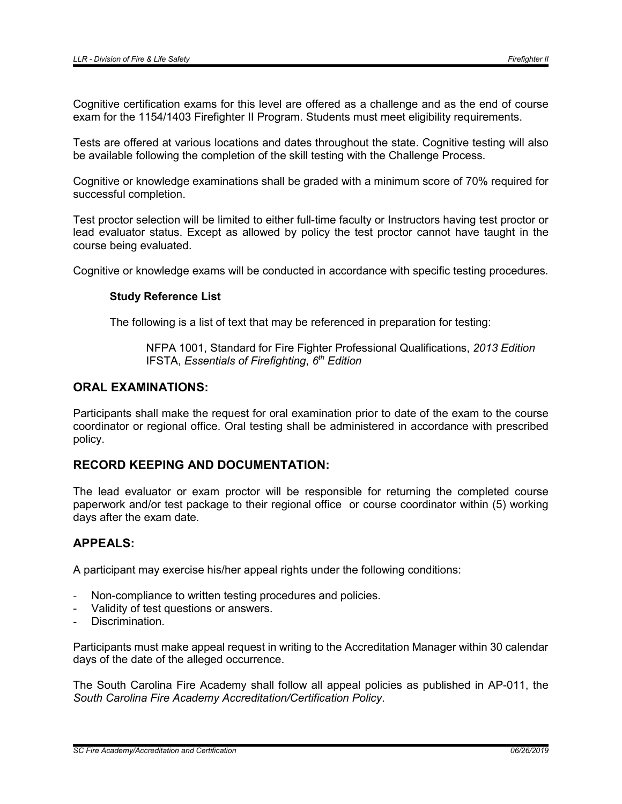Cognitive certification exams for this level are offered as a challenge and as the end of course exam for the 1154/1403 Firefighter II Program. Students must meet eligibility requirements.

Tests are offered at various locations and dates throughout the state. Cognitive testing will also be available following the completion of the skill testing with the Challenge Process.

Cognitive or knowledge examinations shall be graded with a minimum score of 70% required for successful completion.

Test proctor selection will be limited to either full-time faculty or Instructors having test proctor or lead evaluator status. Except as allowed by policy the test proctor cannot have taught in the course being evaluated.

Cognitive or knowledge exams will be conducted in accordance with specific testing procedures.

#### Study Reference List

The following is a list of text that may be referenced in preparation for testing:

NFPA 1001, Standard for Fire Fighter Professional Qualifications, *2013 Edition* IFSTA, *Essentials of Firefighting*, *6th Edition*

#### ORAL EXAMINATIONS:

Participants shall make the request for oral examination prior to date of the exam to the course coordinator or regional office. Oral testing shall be administered in accordance with prescribed policy.

## RECORD KEEPING AND DOCUMENTATION:

The lead evaluator or exam proctor will be responsible for returning the completed course paperwork and/or test package to their regional office or course coordinator within (5) working days after the exam date.

#### APPEALS:

A participant may exercise his/her appeal rights under the following conditions:

- Non-compliance to written testing procedures and policies.
- Validity of test questions or answers.
- Discrimination.

Participants must make appeal request in writing to the Accreditation Manager within 30 calendar days of the date of the alleged occurrence.

The South Carolina Fire Academy shall follow all appeal policies as published in AP-011, the *South Carolina Fire Academy Accreditation/Certification Policy*.

*SC Fire Academy/Accreditation and Certification 06/26/2019*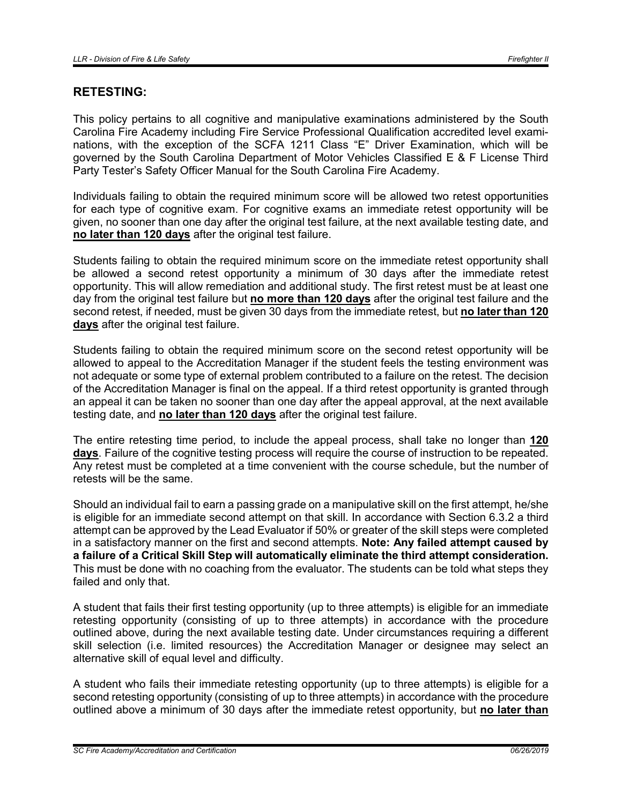## RETESTING:

This policy pertains to all cognitive and manipulative examinations administered by the South Carolina Fire Academy including Fire Service Professional Qualification accredited level examinations, with the exception of the SCFA 1211 Class "E" Driver Examination, which will be governed by the South Carolina Department of Motor Vehicles Classified E & F License Third Party Tester's Safety Officer Manual for the South Carolina Fire Academy.

Individuals failing to obtain the required minimum score will be allowed two retest opportunities for each type of cognitive exam. For cognitive exams an immediate retest opportunity will be given, no sooner than one day after the original test failure, at the next available testing date, and no later than 120 days after the original test failure.

Students failing to obtain the required minimum score on the immediate retest opportunity shall be allowed a second retest opportunity a minimum of 30 days after the immediate retest opportunity. This will allow remediation and additional study. The first retest must be at least one day from the original test failure but no more than 120 days after the original test failure and the second retest, if needed, must be given 30 days from the immediate retest, but no later than 120 days after the original test failure.

Students failing to obtain the required minimum score on the second retest opportunity will be allowed to appeal to the Accreditation Manager if the student feels the testing environment was not adequate or some type of external problem contributed to a failure on the retest. The decision of the Accreditation Manager is final on the appeal. If a third retest opportunity is granted through an appeal it can be taken no sooner than one day after the appeal approval, at the next available testing date, and no later than 120 days after the original test failure.

The entire retesting time period, to include the appeal process, shall take no longer than 120 days. Failure of the cognitive testing process will require the course of instruction to be repeated. Any retest must be completed at a time convenient with the course schedule, but the number of retests will be the same.

Should an individual fail to earn a passing grade on a manipulative skill on the first attempt, he/she is eligible for an immediate second attempt on that skill. In accordance with Section 6.3.2 a third attempt can be approved by the Lead Evaluator if 50% or greater of the skill steps were completed in a satisfactory manner on the first and second attempts. Note: Any failed attempt caused by a failure of a Critical Skill Step will automatically eliminate the third attempt consideration. This must be done with no coaching from the evaluator. The students can be told what steps they failed and only that.

A student that fails their first testing opportunity (up to three attempts) is eligible for an immediate retesting opportunity (consisting of up to three attempts) in accordance with the procedure outlined above, during the next available testing date. Under circumstances requiring a different skill selection (i.e. limited resources) the Accreditation Manager or designee may select an alternative skill of equal level and difficulty.

A student who fails their immediate retesting opportunity (up to three attempts) is eligible for a second retesting opportunity (consisting of up to three attempts) in accordance with the procedure outlined above a minimum of 30 days after the immediate retest opportunity, but no later than